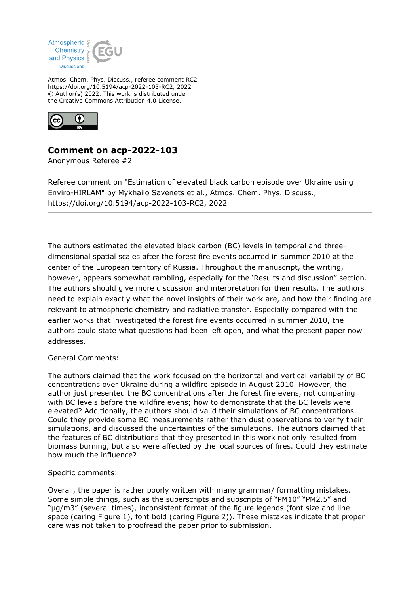

Atmos. Chem. Phys. Discuss., referee comment RC2 https://doi.org/10.5194/acp-2022-103-RC2, 2022 © Author(s) 2022. This work is distributed under the Creative Commons Attribution 4.0 License.



## **Comment on acp-2022-103**

Anonymous Referee #2

Referee comment on "Estimation of elevated black carbon episode over Ukraine using Enviro-HIRLAM" by Mykhailo Savenets et al., Atmos. Chem. Phys. Discuss., https://doi.org/10.5194/acp-2022-103-RC2, 2022

The authors estimated the elevated black carbon (BC) levels in temporal and threedimensional spatial scales after the forest fire events occurred in summer 2010 at the center of the European territory of Russia. Throughout the manuscript, the writing, however, appears somewhat rambling, especially for the 'Results and discussion" section. The authors should give more discussion and interpretation for their results. The authors need to explain exactly what the novel insights of their work are, and how their finding are relevant to atmospheric chemistry and radiative transfer. Especially compared with the earlier works that investigated the forest fire events occurred in summer 2010, the authors could state what questions had been left open, and what the present paper now addresses.

## General Comments:

The authors claimed that the work focused on the horizontal and vertical variability of BC concentrations over Ukraine during a wildfire episode in August 2010. However, the author just presented the BC concentrations after the forest fire evens, not comparing with BC levels before the wildfire evens; how to demonstrate that the BC levels were elevated? Additionally, the authors should valid their simulations of BC concentrations. Could they provide some BC measurements rather than dust observations to verify their simulations, and discussed the uncertainties of the simulations. The authors claimed that the features of BC distributions that they presented in this work not only resulted from biomass burning, but also were affected by the local sources of fires. Could they estimate how much the influence?

## Specific comments:

Overall, the paper is rather poorly written with many grammar/ formatting mistakes. Some simple things, such as the superscripts and subscripts of "PM10" "PM2.5" and "µg/m3" (several times), inconsistent format of the figure legends (font size and line space (caring Figure 1), font bold (caring Figure 2)). These mistakes indicate that proper care was not taken to proofread the paper prior to submission.